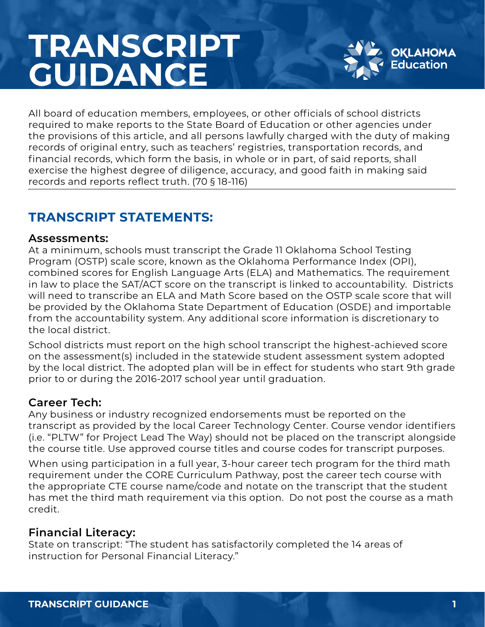# **TRANSCRIPT GUIDANCE**



All board of education members, employees, or other officials of school districts required to make reports to the State Board of Education or other agencies under the provisions of this article, and all persons lawfully charged with the duty of making records of original entry, such as teachers' registries, transportation records, and financial records, which form the basis, in whole or in part, of said reports, shall exercise the highest degree of diligence, accuracy, and good faith in making said records and reports reflect truth. (70 § 18-116)

# **TRANSCRIPT STATEMENTS:**

#### **Assessments:**

At a minimum, schools must transcript the Grade 11 Oklahoma School Testing Program (OSTP) scale score, known as the Oklahoma Performance Index (OPI), combined scores for English Language Arts (ELA) and Mathematics. The requirement in law to place the SAT/ACT score on the transcript is linked to accountability. Districts will need to transcribe an ELA and Math Score based on the OSTP scale score that will be provided by the Oklahoma State Department of Education (OSDE) and importable from the accountability system. Any additional score information is discretionary to the local district.

School districts must report on the high school transcript the highest-achieved score on the assessment(s) included in the statewide student assessment system adopted by the local district. The adopted plan will be in effect for students who start 9th grade prior to or during the 2016-2017 school year until graduation.

## **Career Tech:**

Any business or industry recognized endorsements must be reported on the transcript as provided by the local Career Technology Center. Course vendor identifiers (i.e. "PLTW" for Project Lead The Way) should not be placed on the transcript alongside the course title. Use approved course titles and course codes for transcript purposes.

When using participation in a full year, 3-hour career tech program for the third math requirement under the CORE Curriculum Pathway, post the career tech course with the appropriate CTE course name/code and notate on the transcript that the student has met the third math requirement via this option. Do not post the course as a math credit.

## **Financial Literacy:**

State on transcript: "The student has satisfactorily completed the 14 areas of instruction for Personal Financial Literacy."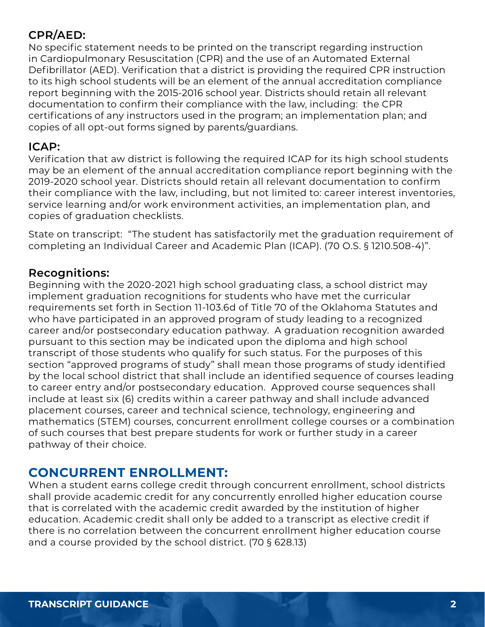## **CPR/AED:**

No specific statement needs to be printed on the transcript regarding instruction in Cardiopulmonary Resuscitation (CPR) and the use of an Automated External Defibrillator (AED). Verification that a district is providing the required CPR instruction to its high school students will be an element of the annual accreditation compliance report beginning with the 2015-2016 school year. Districts should retain all relevant documentation to confirm their compliance with the law, including: the CPR certifications of any instructors used in the program; an implementation plan; and copies of all opt-out forms signed by parents/guardians.

### **ICAP:**

Verification that aw district is following the required ICAP for its high school students may be an element of the annual accreditation compliance report beginning with the 2019-2020 school year. Districts should retain all relevant documentation to confirm their compliance with the law, including, but not limited to: career interest inventories, service learning and/or work environment activities, an implementation plan, and copies of graduation checklists.

State on transcript: "The student has satisfactorily met the graduation requirement of completing an Individual Career and Academic Plan (ICAP). (70 O.S. § 1210.508-4)".

## **Recognitions:**

Beginning with the 2020-2021 high school graduating class, a school district may implement graduation recognitions for students who have met the curricular requirements set forth in Section 11-103.6d of Title 70 of the Oklahoma Statutes and who have participated in an approved program of study leading to a recognized career and/or postsecondary education pathway. A graduation recognition awarded pursuant to this section may be indicated upon the diploma and high school transcript of those students who qualify for such status. For the purposes of this section "approved programs of study" shall mean those programs of study identified by the local school district that shall include an identified sequence of courses leading to career entry and/or postsecondary education. Approved course sequences shall include at least six (6) credits within a career pathway and shall include advanced placement courses, career and technical science, technology, engineering and mathematics (STEM) courses, concurrent enrollment college courses or a combination of such courses that best prepare students for work or further study in a career pathway of their choice.

## **CONCURRENT ENROLLMENT:**

When a student earns college credit through concurrent enrollment, school districts shall provide academic credit for any concurrently enrolled higher education course that is correlated with the academic credit awarded by the institution of higher education. Academic credit shall only be added to a transcript as elective credit if there is no correlation between the concurrent enrollment higher education course and a course provided by the school district. (70 § 628.13)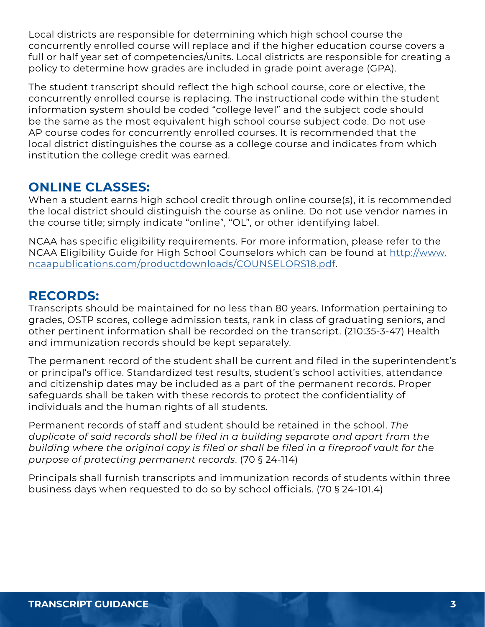Local districts are responsible for determining which high school course the concurrently enrolled course will replace and if the higher education course covers a full or half year set of competencies/units. Local districts are responsible for creating a policy to determine how grades are included in grade point average (GPA).

The student transcript should reflect the high school course, core or elective, the concurrently enrolled course is replacing. The instructional code within the student information system should be coded "college level" and the subject code should be the same as the most equivalent high school course subject code. Do not use AP course codes for concurrently enrolled courses. It is recommended that the local district distinguishes the course as a college course and indicates from which institution the college credit was earned.

## **ONLINE CLASSES:**

When a student earns high school credit through online course(s), it is recommended the local district should distinguish the course as online. Do not use vendor names in the course title; simply indicate "online", "OL", or other identifying label.

NCAA has specific eligibility requirements. For more information, please refer to the NCAA Eligibility Guide for High School Counselors which can be found at [http://www.](http://www.ncaapublications.com/productdownloads/COUNSELORS18.pdf) [ncaapublications.com/productdownloads/COUNSELORS18.pdf](http://www.ncaapublications.com/productdownloads/COUNSELORS18.pdf).

## **RECORDS:**

Transcripts should be maintained for no less than 80 years. Information pertaining to grades, OSTP scores, college admission tests, rank in class of graduating seniors, and other pertinent information shall be recorded on the transcript. (210:35-3-47) Health and immunization records should be kept separately.

The permanent record of the student shall be current and filed in the superintendent's or principal's office. Standardized test results, student's school activities, attendance and citizenship dates may be included as a part of the permanent records. Proper safeguards shall be taken with these records to protect the confidentiality of individuals and the human rights of all students.

Permanent records of staff and student should be retained in the school. *The duplicate of said records shall be filed in a building separate and apart from the building where the original copy is filed or shall be filed in a fireproof vault for the purpose of protecting permanent records*. (70 § 24-114)

Principals shall furnish transcripts and immunization records of students within three business days when requested to do so by school officials. (70 § 24-101.4)